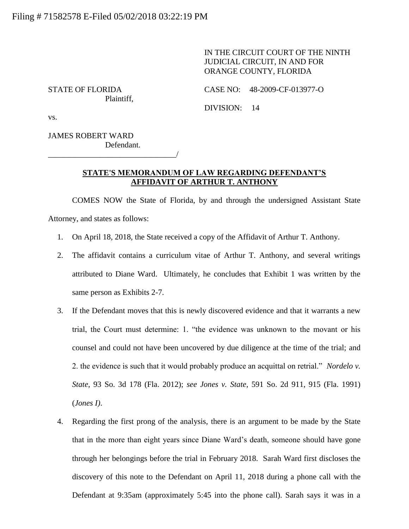IN THE CIRCUIT COURT OF THE NINTH JUDICIAL CIRCUIT, IN AND FOR ORANGE COUNTY, FLORIDA

Plaintiff,

STATE OF FLORIDA CASE NO: 48-2009-CF-013977-O

DIVISION: 14

vs.

JAMES ROBERT WARD Defendant.

\_\_\_\_\_\_\_\_\_\_\_\_\_\_\_\_\_\_\_\_\_\_\_\_\_\_\_\_\_\_\_\_/

## **STATE'S MEMORANDUM OF LAW REGARDING DEFENDANT'S AFFIDAVIT OF ARTHUR T. ANTHONY**

COMES NOW the State of Florida, by and through the undersigned Assistant State Attorney, and states as follows:

- 1. On April 18, 2018, the State received a copy of the Affidavit of Arthur T. Anthony.
- 2. The affidavit contains a curriculum vitae of Arthur T. Anthony, and several writings attributed to Diane Ward. Ultimately, he concludes that Exhibit 1 was written by the same person as Exhibits 2-7.
- 3. If the Defendant moves that this is newly discovered evidence and that it warrants a new trial, the Court must determine: 1. "the evidence was unknown to the movant or his counsel and could not have been uncovered by due diligence at the time of the trial; and 2. the evidence is such that it would probably produce an acquittal on retrial." *Nordelo v. State*, 93 So. 3d 178 (Fla. 2012); *see Jones v. State*, 591 So. 2d 911, 915 (Fla. 1991) (*Jones I)*.
- 4. Regarding the first prong of the analysis, there is an argument to be made by the State that in the more than eight years since Diane Ward's death, someone should have gone through her belongings before the trial in February 2018. Sarah Ward first discloses the discovery of this note to the Defendant on April 11, 2018 during a phone call with the Defendant at 9:35am (approximately 5:45 into the phone call). Sarah says it was in a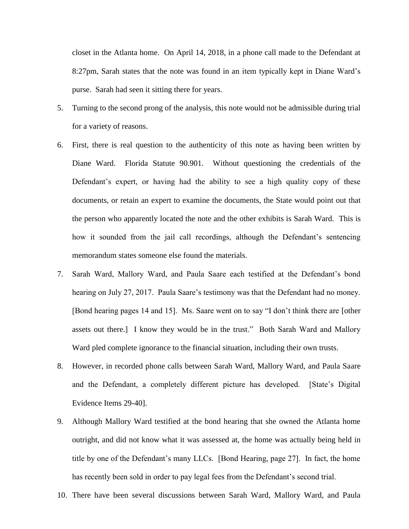closet in the Atlanta home. On April 14, 2018, in a phone call made to the Defendant at 8:27pm, Sarah states that the note was found in an item typically kept in Diane Ward's purse. Sarah had seen it sitting there for years.

- 5. Turning to the second prong of the analysis, this note would not be admissible during trial for a variety of reasons.
- 6. First, there is real question to the authenticity of this note as having been written by Diane Ward. Florida Statute 90.901. Without questioning the credentials of the Defendant's expert, or having had the ability to see a high quality copy of these documents, or retain an expert to examine the documents, the State would point out that the person who apparently located the note and the other exhibits is Sarah Ward. This is how it sounded from the jail call recordings, although the Defendant's sentencing memorandum states someone else found the materials.
- 7. Sarah Ward, Mallory Ward, and Paula Saare each testified at the Defendant's bond hearing on July 27, 2017. Paula Saare's testimony was that the Defendant had no money. [Bond hearing pages 14 and 15]. Ms. Saare went on to say "I don't think there are [other assets out there.] I know they would be in the trust." Both Sarah Ward and Mallory Ward pled complete ignorance to the financial situation, including their own trusts.
- 8. However, in recorded phone calls between Sarah Ward, Mallory Ward, and Paula Saare and the Defendant, a completely different picture has developed. [State's Digital Evidence Items 29-40].
- 9. Although Mallory Ward testified at the bond hearing that she owned the Atlanta home outright, and did not know what it was assessed at, the home was actually being held in title by one of the Defendant's many LLCs. [Bond Hearing, page 27]. In fact, the home has recently been sold in order to pay legal fees from the Defendant's second trial.
- 10. There have been several discussions between Sarah Ward, Mallory Ward, and Paula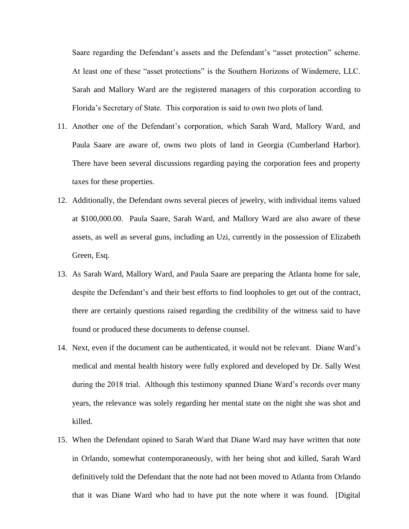Saare regarding the Defendant's assets and the Defendant's "asset protection" scheme. At least one of these "asset protections" is the Southern Horizons of Windemere, LLC. Sarah and Mallory Ward are the registered managers of this corporation according to Florida's Secretary of State. This corporation is said to own two plots of land.

- 11. Another one of the Defendant's corporation, which Sarah Ward, Mallory Ward, and Paula Saare are aware of, owns two plots of land in Georgia (Cumberland Harbor). There have been several discussions regarding paying the corporation fees and property taxes for these properties.
- 12. Additionally, the Defendant owns several pieces of jewelry, with individual items valued at \$100,000.00. Paula Saare, Sarah Ward, and Mallory Ward are also aware of these assets, as well as several guns, including an Uzi, currently in the possession of Elizabeth Green, Esq.
- 13. As Sarah Ward, Mallory Ward, and Paula Saare are preparing the Atlanta home for sale, despite the Defendant's and their best efforts to find loopholes to get out of the contract, there are certainly questions raised regarding the credibility of the witness said to have found or produced these documents to defense counsel.
- 14. Next, even if the document can be authenticated, it would not be relevant. Diane Ward's medical and mental health history were fully explored and developed by Dr. Sally West during the 2018 trial. Although this testimony spanned Diane Ward's records over many years, the relevance was solely regarding her mental state on the night she was shot and killed.
- 15. When the Defendant opined to Sarah Ward that Diane Ward may have written that note in Orlando, somewhat contemporaneously, with her being shot and killed, Sarah Ward definitively told the Defendant that the note had not been moved to Atlanta from Orlando that it was Diane Ward who had to have put the note where it was found. [Digital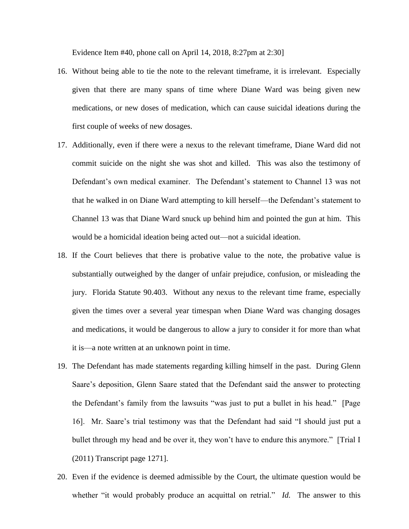Evidence Item #40, phone call on April 14, 2018, 8:27pm at 2:30]

- 16. Without being able to tie the note to the relevant timeframe, it is irrelevant. Especially given that there are many spans of time where Diane Ward was being given new medications, or new doses of medication, which can cause suicidal ideations during the first couple of weeks of new dosages.
- 17. Additionally, even if there were a nexus to the relevant timeframe, Diane Ward did not commit suicide on the night she was shot and killed. This was also the testimony of Defendant's own medical examiner. The Defendant's statement to Channel 13 was not that he walked in on Diane Ward attempting to kill herself—the Defendant's statement to Channel 13 was that Diane Ward snuck up behind him and pointed the gun at him. This would be a homicidal ideation being acted out—not a suicidal ideation.
- 18. If the Court believes that there is probative value to the note, the probative value is substantially outweighed by the danger of unfair prejudice, confusion, or misleading the jury. Florida Statute 90.403. Without any nexus to the relevant time frame, especially given the times over a several year timespan when Diane Ward was changing dosages and medications, it would be dangerous to allow a jury to consider it for more than what it is—a note written at an unknown point in time.
- 19. The Defendant has made statements regarding killing himself in the past. During Glenn Saare's deposition, Glenn Saare stated that the Defendant said the answer to protecting the Defendant's family from the lawsuits "was just to put a bullet in his head." [Page 16]. Mr. Saare's trial testimony was that the Defendant had said "I should just put a bullet through my head and be over it, they won't have to endure this anymore." [Trial I (2011) Transcript page 1271].
- 20. Even if the evidence is deemed admissible by the Court, the ultimate question would be whether "it would probably produce an acquittal on retrial." *Id.* The answer to this